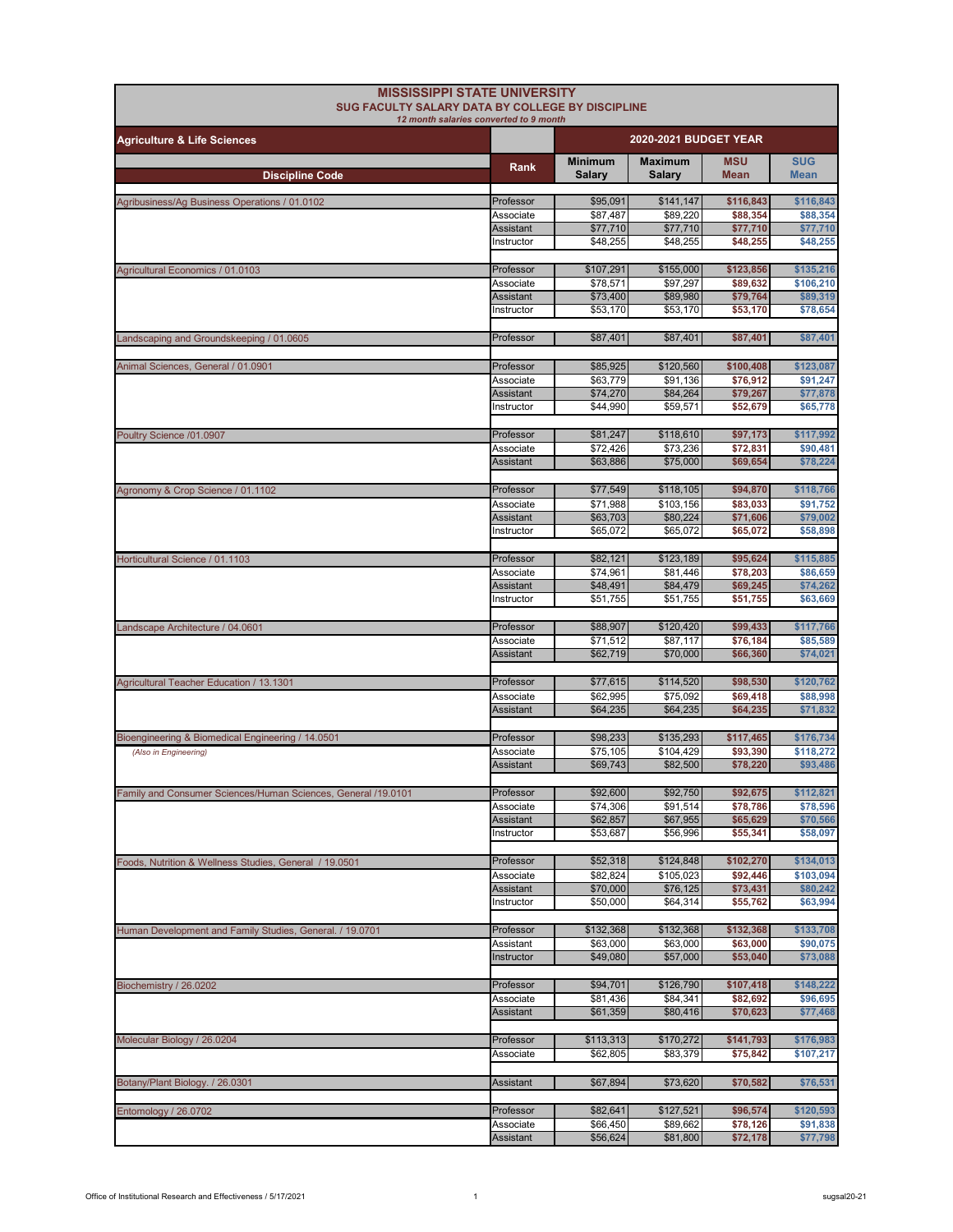| <b>MISSISSIPPI STATE UNIVERSITY</b><br>SUG FACULTY SALARY DATA BY COLLEGE BY DISCIPLINE<br>12 month salaries converted to 9 month |                        |                                 |                                 |                           |                           |  |
|-----------------------------------------------------------------------------------------------------------------------------------|------------------------|---------------------------------|---------------------------------|---------------------------|---------------------------|--|
| <b>Agriculture &amp; Life Sciences</b>                                                                                            |                        |                                 | <b>2020-2021 BUDGET YEAR</b>    |                           |                           |  |
| <b>Discipline Code</b>                                                                                                            | Rank                   | <b>Minimum</b><br><b>Salary</b> | <b>Maximum</b><br><b>Salarv</b> | <b>MSU</b><br><b>Mean</b> | <b>SUG</b><br><b>Mean</b> |  |
| Agribusiness/Ag Business Operations / 01.0102                                                                                     | Professor              | \$95,091                        | \$141,147                       | \$116,843                 | \$116,843                 |  |
|                                                                                                                                   | Associate              | \$87,487                        | \$89,220                        | \$88,354                  | \$88,354                  |  |
|                                                                                                                                   | Assistant              | \$77,710                        | \$77,710                        | \$77,710                  | \$77,710                  |  |
|                                                                                                                                   | Instructor             | \$48,255                        | \$48,255                        | \$48,255                  | \$48,255                  |  |
| Agricultural Economics / 01.0103                                                                                                  | Professor              | \$107,291                       | \$155,000                       | \$123,856                 | \$135,216                 |  |
|                                                                                                                                   | Associate              | \$78,571                        | \$97,297                        | \$89,632                  | \$106,210                 |  |
|                                                                                                                                   | <b>Assistant</b>       | \$73,400                        | \$89,980                        | \$79,764<br>\$53,170      | \$89,319<br>\$78,654      |  |
|                                                                                                                                   | Instructor             | \$53,170                        | \$53,170                        |                           |                           |  |
| Landscaping and Groundskeeping / 01.0605                                                                                          | Professor              | \$87,401                        | \$87,401                        | \$87,401                  | \$87,401                  |  |
| Animal Sciences, General / 01.0901                                                                                                | Professor              | \$85,925                        | \$120,560                       | \$100,408                 | \$123,087                 |  |
|                                                                                                                                   | Associate              | \$63,779                        | \$91,136                        | \$76,912                  | \$91,247                  |  |
|                                                                                                                                   | <b>Assistant</b>       | \$74,270                        | \$84,264                        | \$79,267                  | \$77,878                  |  |
|                                                                                                                                   | Instructor             | \$44,990                        | \$59,571                        | \$52,679                  | \$65,778                  |  |
| Poultry Science /01.0907                                                                                                          | Professor              | \$81,247                        | \$118,610                       | \$97,173                  | \$117,992                 |  |
|                                                                                                                                   | Associate              | \$72,426                        | \$73,236                        | \$72,831                  | \$90,481                  |  |
|                                                                                                                                   | Assistant              | \$63,886                        | \$75,000                        | \$69.654                  | \$78,224                  |  |
|                                                                                                                                   |                        |                                 | \$118,105                       |                           |                           |  |
| Agronomy & Crop Science / 01.1102                                                                                                 | Professor<br>Associate | \$77,549<br>\$71,988            | \$103,156                       | \$94,870<br>\$83,033      | \$118,766<br>\$91,752     |  |
|                                                                                                                                   | Assistant              | \$63,703                        | \$80,224                        | \$71,606                  | \$79,002                  |  |
|                                                                                                                                   | Instructor             | \$65,072                        | \$65,072                        | \$65,072                  | \$58,898                  |  |
| Horticultural Science / 01.1103                                                                                                   | Professor              | \$82,121                        | \$123,189                       | \$95,624                  | \$115,885                 |  |
|                                                                                                                                   | Associate              | \$74,961                        | \$81,446                        | \$78,203                  | \$86,659                  |  |
|                                                                                                                                   | Assistant              | \$48,491                        | \$84,479                        | \$69,245                  | \$74,262                  |  |
|                                                                                                                                   | Instructor             | \$51,755                        | \$51,755                        | \$51,755                  | \$63,669                  |  |
| Landscape Architecture / 04.0601                                                                                                  | Professor              | \$88,907                        | \$120,420                       | \$99,433                  | \$117,766                 |  |
|                                                                                                                                   | Associate              | \$71,512                        | \$87,117                        | \$76,184                  | \$85,589                  |  |
|                                                                                                                                   | <b>Assistant</b>       | \$62,719                        | \$70,000                        | \$66,360                  | \$74,021                  |  |
| Agricultural Teacher Education / 13.1301                                                                                          | Professor              | \$77,615                        | \$114,520                       | \$98,530                  | \$120,762                 |  |
|                                                                                                                                   | Associate              | \$62,995                        | \$75,092                        | \$69,418                  | \$88,998                  |  |
|                                                                                                                                   | <b>Assistant</b>       | \$64,235                        | \$64,235                        | \$64,235                  | \$71,832                  |  |
| Bioengineering & Biomedical Engineering / 14.0501                                                                                 | Professor              | \$98,233                        | \$135,293                       | \$117,465                 | \$176,734                 |  |
| (Also in Engineering)                                                                                                             | Associate              | \$75,105                        | \$104,429                       | \$93,390                  | \$118,272                 |  |
|                                                                                                                                   | <b>Assistant</b>       | \$69,743                        | \$82,500                        | \$78,220                  | \$93,486                  |  |
| Family and Consumer Sciences/Human Sciences, General /19.0101                                                                     | Professor              | \$92,600                        | \$92,750                        | \$92,675                  | \$112,821                 |  |
|                                                                                                                                   | Associate              | \$74,306                        | \$91,514                        | \$78,786                  | \$78,596                  |  |
|                                                                                                                                   | Assistant              | \$62,857                        | \$67,955                        | \$65,629                  | \$70,566                  |  |
|                                                                                                                                   | Instructor             | \$53,687                        | \$56,996                        | \$55,341                  | \$58,097                  |  |
| Foods, Nutrition & Wellness Studies, General / 19.0501                                                                            | Professor              | \$52,318                        | \$124,848                       | \$102,270                 | \$134,013                 |  |
|                                                                                                                                   | Associate              | \$82,824                        | \$105,023                       | \$92,446                  | \$103,094                 |  |
|                                                                                                                                   | Assistant              | \$70,000                        | \$76,125                        | \$73,431                  | \$80,242                  |  |
|                                                                                                                                   | Instructor             | \$50,000                        | \$64,314                        | \$55,762                  | \$63,994                  |  |
| Human Development and Family Studies, General. / 19.0701                                                                          | Professor              | \$132,368                       | \$132,368                       | \$132,368                 | \$133,708                 |  |
|                                                                                                                                   | Assistant              | \$63,000                        | \$63,000                        | \$63,000                  | \$90,075                  |  |
|                                                                                                                                   | Instructor             | \$49,080                        | \$57,000                        | \$53,040                  | \$73,088                  |  |
| Biochemistry / 26.0202                                                                                                            | Professor              | \$94,701                        | \$126,790                       | \$107,418                 | \$148,222                 |  |
|                                                                                                                                   | Associate              | \$81,436                        | \$84,341                        | \$82,692                  | \$96,695                  |  |
|                                                                                                                                   | Assistant              | \$61,359                        | \$80,416                        | \$70,623                  | \$77,468                  |  |
| Molecular Biology / 26.0204                                                                                                       | Professor              | \$113,313                       | \$170,272                       | \$141,793                 | \$176,983                 |  |
|                                                                                                                                   | Associate              | \$62,805                        | \$83,379                        | \$75,842                  | \$107,217                 |  |
|                                                                                                                                   |                        |                                 |                                 |                           |                           |  |
| Botany/Plant Biology. / 26.0301                                                                                                   | Assistant              | \$67,894                        | \$73,620                        | \$70,582                  | \$76,531                  |  |
| Entomology / 26.0702                                                                                                              | Professor              | \$82,641                        | \$127,521                       | \$96,574                  | \$120,593                 |  |
|                                                                                                                                   | Associate              | \$66,450                        | \$89,662                        | \$78,126                  | \$91,838                  |  |
|                                                                                                                                   | Assistant              | \$56,624                        | \$81,800                        | \$72,178                  | \$77,798                  |  |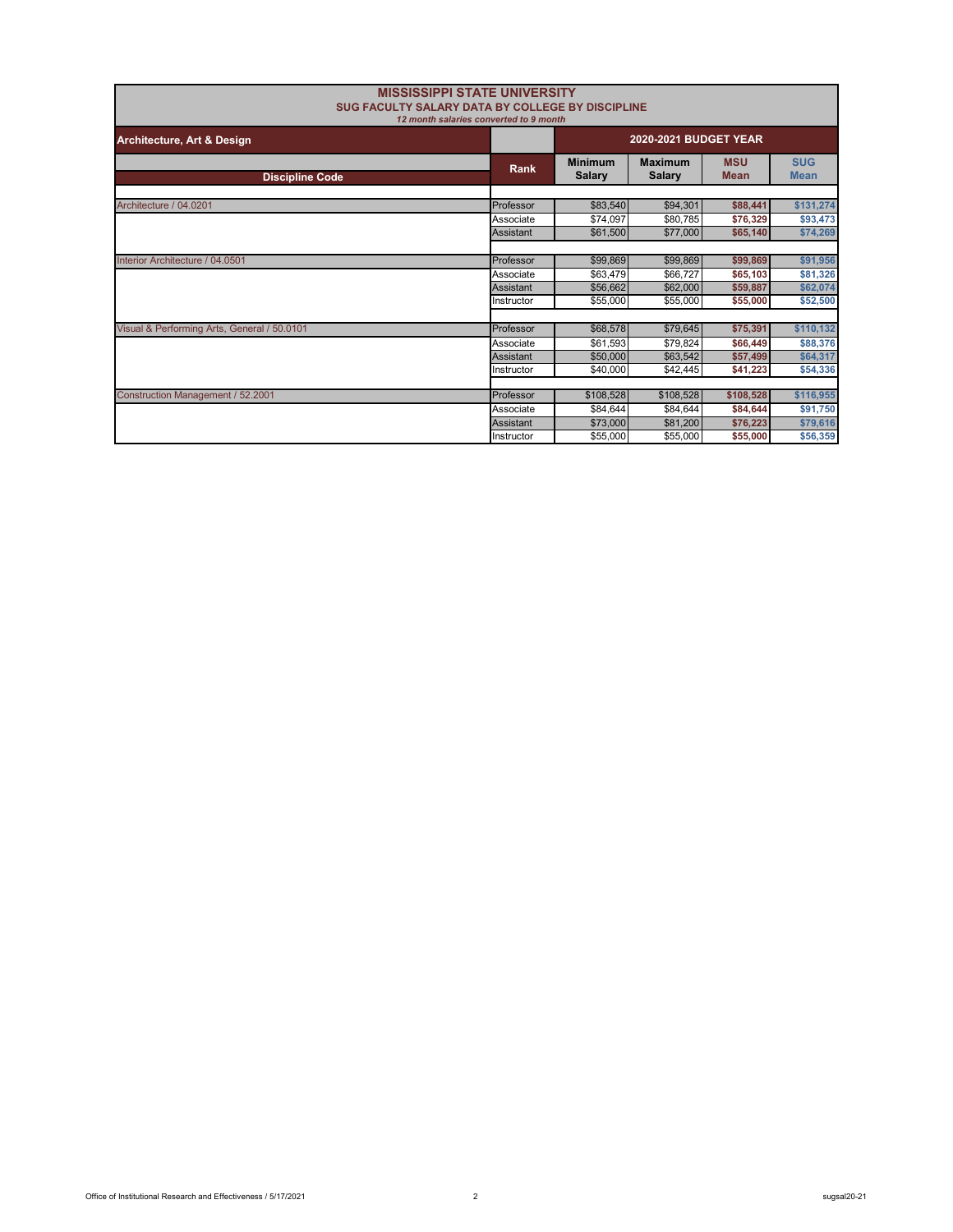| <b>MISSISSIPPI STATE UNIVERSITY</b><br>SUG FACULTY SALARY DATA BY COLLEGE BY DISCIPLINE<br>12 month salaries converted to 9 month |                               |                                 |                                 |                           |                           |
|-----------------------------------------------------------------------------------------------------------------------------------|-------------------------------|---------------------------------|---------------------------------|---------------------------|---------------------------|
| Architecture, Art & Design                                                                                                        | <b>2020-2021 BUDGET YEAR</b>  |                                 |                                 |                           |                           |
| <b>Discipline Code</b>                                                                                                            | Rank                          | <b>Minimum</b><br><b>Salary</b> | <b>Maximum</b><br><b>Salary</b> | <b>MSU</b><br><b>Mean</b> | <b>SUG</b><br><b>Mean</b> |
| Architecture / 04.0201                                                                                                            | Professor                     | \$83,540                        | \$94,301                        | \$88,441                  | \$131,274                 |
|                                                                                                                                   | Associate                     | \$74,097                        | \$80,785                        | \$76,329                  | \$93,473                  |
|                                                                                                                                   | Assistant                     | \$61,500                        | \$77,000                        | \$65,140                  | \$74,269                  |
| Interior Architecture / 04.0501                                                                                                   | Professor                     | \$99,869                        | \$99,869                        | \$99,869                  | \$91,956                  |
|                                                                                                                                   | Associate<br><b>Assistant</b> | \$63,479<br>\$56,662            | \$66,727<br>\$62,000            | \$65,103<br>\$59,887      | \$81,326<br>\$62,074      |
|                                                                                                                                   | Instructor                    | \$55,000                        | \$55,000                        | \$55,000                  | \$52,500                  |
| Visual & Performing Arts, General / 50.0101                                                                                       | Professor                     | \$68,578                        | \$79,645                        | \$75.391                  | \$110,132                 |
|                                                                                                                                   | Associate                     | \$61,593                        | \$79,824                        | \$66,449                  | \$88,376                  |
|                                                                                                                                   | Assistant                     | \$50,000                        | \$63,542                        | \$57,499                  | \$64,317                  |
|                                                                                                                                   | Instructor                    | \$40,000                        | \$42,445                        | \$41,223                  | \$54,336                  |
|                                                                                                                                   | Professor                     |                                 |                                 | \$108,528                 |                           |
| Construction Management / 52.2001                                                                                                 | Associate                     | \$108,528<br>\$84,644           | \$108,528<br>\$84,644           |                           | \$116,955<br>\$91,750     |
|                                                                                                                                   | <b>Assistant</b>              | \$73,000                        | \$81,200                        | \$84,644<br>\$76,223      | \$79,616                  |
|                                                                                                                                   | Instructor                    | \$55,000                        | \$55,000                        | \$55,000                  | \$56,359                  |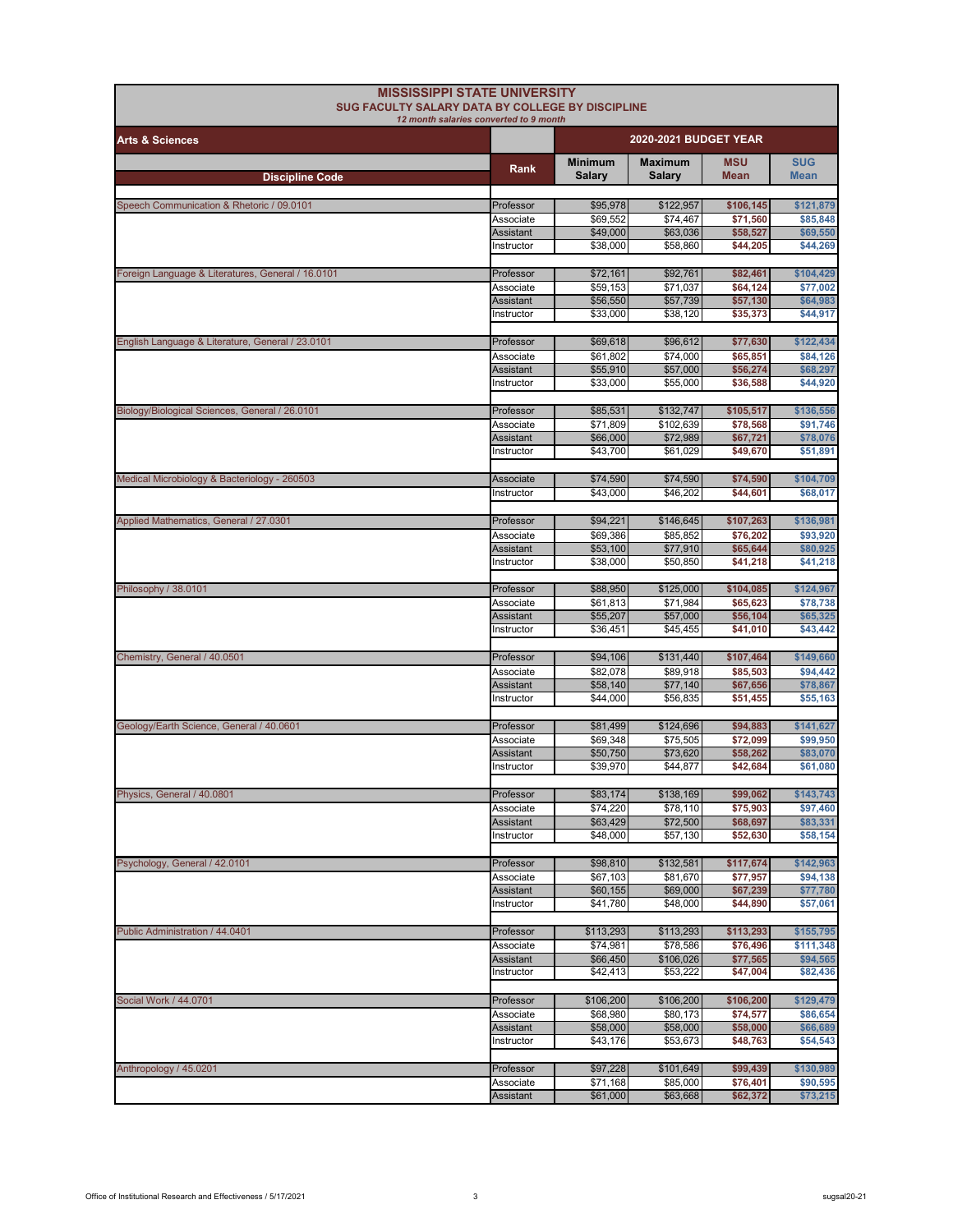| <b>MISSISSIPPI STATE UNIVERSITY</b><br>SUG FACULTY SALARY DATA BY COLLEGE BY DISCIPLINE |                               |                       |                       |                       |                        |
|-----------------------------------------------------------------------------------------|-------------------------------|-----------------------|-----------------------|-----------------------|------------------------|
| 12 month salaries converted to 9 month<br><b>Arts &amp; Sciences</b>                    |                               | 2020-2021 BUDGET YEAR |                       |                       |                        |
|                                                                                         | <b>Rank</b>                   | <b>Minimum</b>        | <b>Maximum</b>        | <b>MSU</b>            | <b>SUG</b>             |
| <b>Discipline Code</b>                                                                  |                               | <b>Salary</b>         | <b>Salary</b>         | <b>Mean</b>           | <b>Mean</b>            |
| Speech Communication & Rhetoric / 09.0101                                               | Professor                     | \$95,978              | \$122,957             | \$106,145             | \$121,879              |
|                                                                                         | Associate                     | \$69,552              | \$74,467              | \$71,560              | \$85,848               |
|                                                                                         | Assistant                     | \$49,000              | \$63,036              | \$58,527              | \$69,550               |
|                                                                                         | Instructor                    | \$38,000              | \$58,860              | \$44,205              | \$44,269               |
| Foreign Language & Literatures, General / 16.0101                                       | Professor                     | \$72,161              | \$92,761              | \$82,461              | \$104,429              |
|                                                                                         | Associate                     | \$59,153              | \$71,037              | \$64,124              | \$77.002               |
|                                                                                         | Assistant                     | \$56,550              | \$57,739              | \$57,130              | \$64,983               |
|                                                                                         | Instructor                    | \$33,000              | \$38,120              | \$35,373              | \$44,917               |
|                                                                                         |                               |                       |                       |                       |                        |
| English Language & Literature, General / 23.0101                                        | Professor                     | \$69,618              | \$96,612              | \$77,630              | \$122,434              |
|                                                                                         | Associate<br><b>Assistant</b> | \$61,802<br>\$55,910  | \$74,000<br>\$57,000  | \$65,851<br>\$56,274  | \$84,126<br>\$68,297   |
|                                                                                         | Instructor                    | \$33,000              | \$55,000              | \$36,588              | \$44,920               |
|                                                                                         |                               |                       |                       |                       |                        |
| Biology/Biological Sciences, General / 26.0101                                          | Professor                     | \$85,531              | \$132,747             | \$105,517             | \$136,556              |
|                                                                                         | Associate                     | \$71,809              | \$102,639             | \$78,568              | \$91,746               |
|                                                                                         | Assistant                     | \$66,000              | \$72,989              | \$67,721              | \$78,076               |
|                                                                                         | Instructor                    | \$43,700              | \$61,029              | \$49,670              | \$51,891               |
| Medical Microbiology & Bacteriology - 260503                                            | Associate                     | \$74,590              | \$74,590              | \$74,590              | \$104,709              |
|                                                                                         | Instructor                    | \$43,000              | \$46,202              | \$44,601              | \$68,017               |
|                                                                                         |                               |                       |                       |                       |                        |
| Applied Mathematics, General / 27.0301                                                  | Professor                     | \$94,221              | \$146,645             | \$107,263             | \$136,981              |
|                                                                                         | Associate                     | \$69,386              | \$85,852              | \$76,202              | \$93,920               |
|                                                                                         | <b>Assistant</b>              | \$53,100              | \$77,910              | \$65,644              | \$80,925               |
|                                                                                         | Instructor                    | \$38,000              | \$50,850              | \$41,218              | \$41,218               |
| Philosophy / 38.0101                                                                    | Professor                     | \$88,950              | \$125,000             | \$104,085             | \$124,967              |
|                                                                                         | Associate                     | \$61,813              | \$71,984              | \$65,623              | \$78,738               |
|                                                                                         | Assistant                     | \$55,207              | \$57,000              | \$56,104              | \$65,325               |
|                                                                                         | Instructor                    | \$36,451              | \$45,455              | \$41,010              | \$43,442               |
|                                                                                         |                               |                       |                       |                       |                        |
| Chemistry, General / 40.0501                                                            | Professor<br>Associate        | \$94,106<br>\$82,078  | \$131,440<br>\$89,918 | \$107,464<br>\$85,503 | \$149,660<br>\$94,442  |
|                                                                                         | Assistant                     | \$58,140              | \$77,140              | \$67,656              | \$78,867               |
|                                                                                         | Instructor                    | \$44,000              | \$56,835              | \$51,455              | \$55,163               |
|                                                                                         |                               |                       |                       |                       |                        |
| Geology/Earth Science, General / 40.0601                                                | Professor                     | \$81,499              | \$124,696             | \$94,883              | \$141,627              |
|                                                                                         | Associate                     | \$69,348              | \$75,505              | \$72,099              | \$99,950               |
|                                                                                         | Assistant<br>Instructor       | \$50,750<br>\$39,970  | \$73,620<br>\$44,877  | \$58,262<br>\$42,684  | \$83,070<br>\$61,080   |
|                                                                                         |                               |                       |                       |                       |                        |
| Physics, General / 40.0801                                                              | Professor                     | \$83,174              | \$138,169             | \$99,062              | \$143,743              |
|                                                                                         | Associate                     | \$74,220              | \$78,110              | \$75,903              | \$97,460               |
|                                                                                         | Assistant                     | \$63,429              | \$72,500              | \$68,697              | \$83,331               |
|                                                                                         | Instructor                    | \$48,000              | \$57,130              | \$52,630              | \$58,154               |
| Psychology, General / 42.0101                                                           | Professor                     | \$98,810              | \$132,581             | \$117,674             | \$142,963              |
|                                                                                         | Associate                     | \$67,103              | \$81,670              | \$77,957              | \$94,138               |
|                                                                                         | Assistant                     | \$60,155              | \$69,000              | \$67,239              | \$77,780               |
|                                                                                         | Instructor                    | \$41,780              | \$48,000              | \$44,890              | \$57,061               |
|                                                                                         |                               |                       |                       |                       |                        |
| Public Administration / 44.0401                                                         | Professor                     | \$113,293             | \$113,293             | \$113,293             | \$155,795<br>\$111,348 |
|                                                                                         | Associate<br>Assistant        | \$74,981<br>\$66,450  | \$78,586<br>\$106,026 | \$76,496<br>\$77,565  | \$94,565               |
|                                                                                         | Instructor                    | \$42,413              | \$53,222              | \$47,004              | \$82,436               |
|                                                                                         |                               |                       |                       |                       |                        |
| Social Work / 44.0701                                                                   | Professor                     | \$106,200             | \$106,200             | \$106,200             | \$129,479              |
|                                                                                         | Associate                     | \$68,980              | \$80,173              | \$74,577              | \$86,654               |
|                                                                                         | Assistant<br>Instructor       | \$58,000<br>\$43,176  | \$58,000<br>\$53,673  | \$58,000<br>\$48,763  | \$66,689<br>\$54,543   |
|                                                                                         |                               |                       |                       |                       |                        |
| Anthropology / 45.0201                                                                  | Professor                     | \$97,228              | \$101,649             | \$99,439              | \$130,989              |
|                                                                                         | Associate                     | \$71,168              | \$85,000              | \$76,401              | \$90,595               |
|                                                                                         | Assistant                     | \$61,000              | \$63,668              | \$62,372              | \$73,215               |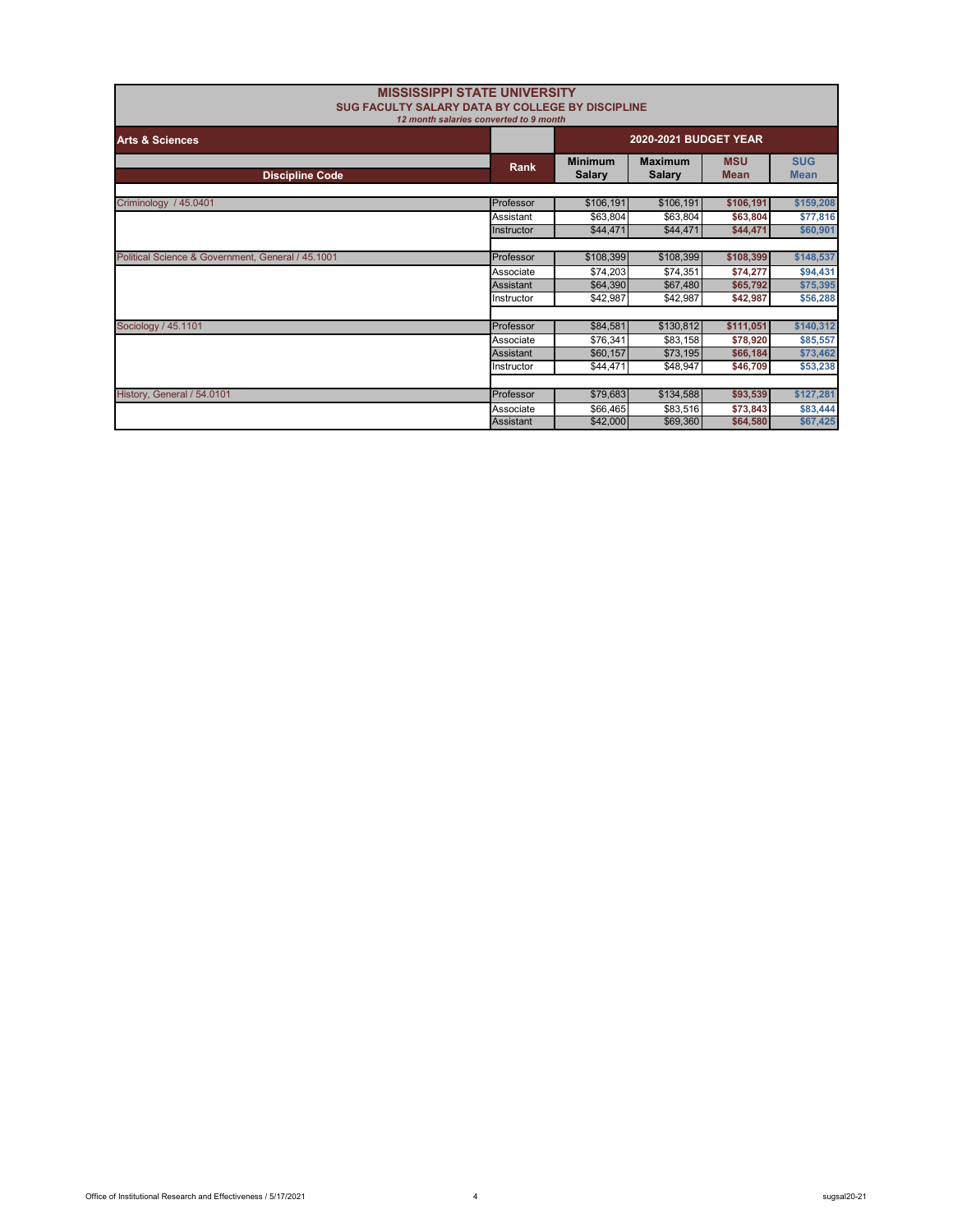| <b>MISSISSIPPI STATE UNIVERSITY</b><br>SUG FACULTY SALARY DATA BY COLLEGE BY DISCIPLINE | 12 month salaries converted to 9 month |                                 |                                 |                           |                           |
|-----------------------------------------------------------------------------------------|----------------------------------------|---------------------------------|---------------------------------|---------------------------|---------------------------|
| <b>Arts &amp; Sciences</b>                                                              |                                        | 2020-2021 BUDGET YEAR           |                                 |                           |                           |
| <b>Discipline Code</b>                                                                  | Rank                                   | <b>Minimum</b><br><b>Salary</b> | <b>Maximum</b><br><b>Salary</b> | <b>MSU</b><br><b>Mean</b> | <b>SUG</b><br><b>Mean</b> |
| Criminology / 45.0401                                                                   | Professor                              | \$106,191                       | \$106,191                       | \$106,191                 | \$159,208                 |
|                                                                                         | Assistant                              | \$63,804                        | \$63,804                        | \$63,804                  | \$77,816                  |
|                                                                                         | Instructor                             | \$44,471                        | \$44,471                        | \$44,471                  | \$60,901                  |
|                                                                                         |                                        |                                 |                                 |                           |                           |
| Political Science & Government, General / 45.1001                                       | Professor                              | \$108,399                       | \$108,399                       | \$108,399                 | \$148,537                 |
|                                                                                         | Associate                              | \$74,203                        | \$74,351                        | \$74,277                  | \$94,431                  |
|                                                                                         | Assistant                              | \$64,390                        | \$67,480                        | \$65,792                  | \$75,395                  |
|                                                                                         | Instructor                             | \$42,987                        | \$42,987                        | \$42,987                  | \$56,288                  |
|                                                                                         |                                        |                                 |                                 |                           |                           |
| Sociology / 45.1101                                                                     | Professor                              | \$84,581                        | \$130,812                       | \$111,051                 | \$140,312                 |
|                                                                                         | Associate                              | \$76,341                        | \$83,158                        | \$78,920                  | \$85,557                  |
|                                                                                         | Assistant                              | \$60,157                        | \$73,195                        | \$66,184                  | \$73,462                  |
|                                                                                         | Instructor                             | \$44.471                        | \$48,947                        | \$46,709                  | \$53,238                  |
|                                                                                         |                                        |                                 |                                 |                           |                           |
| History, General / 54.0101                                                              | Professor                              | \$79,683                        | \$134,588                       | \$93,539                  | \$127,281                 |
|                                                                                         | Associate                              | \$66,465                        | \$83,516                        | \$73,843                  | \$83,444                  |
|                                                                                         | <b>Assistant</b>                       | \$42,000                        | \$69,360                        | \$64,580                  | \$67,425                  |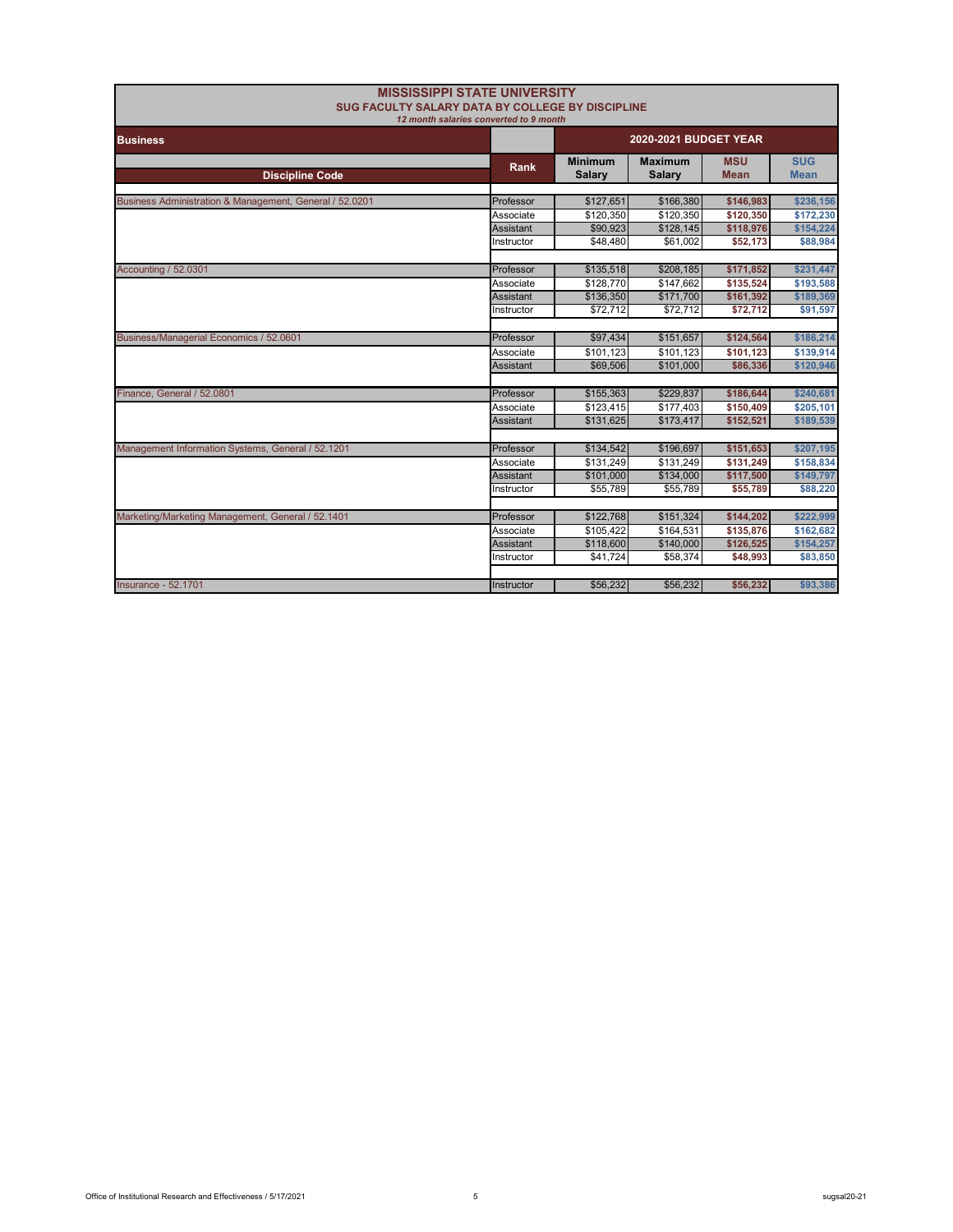| SUG FACULTY SALARY DATA BY COLLEGE BY DISCIPLINE        | <b>MISSISSIPPI STATE UNIVERSITY</b>    |                                 |                                 |                           |                           |
|---------------------------------------------------------|----------------------------------------|---------------------------------|---------------------------------|---------------------------|---------------------------|
| <b>Business</b>                                         | 12 month salaries converted to 9 month | 2020-2021 BUDGET YEAR           |                                 |                           |                           |
| <b>Discipline Code</b>                                  | Rank                                   | <b>Minimum</b><br><b>Salary</b> | <b>Maximum</b><br><b>Salary</b> | <b>MSU</b><br><b>Mean</b> | <b>SUG</b><br><b>Mean</b> |
| Business Administration & Management, General / 52.0201 | Professor                              | \$127,651                       | \$166,380                       | \$146,983                 | \$236,156                 |
|                                                         | Associate                              | \$120,350                       | \$120,350                       | \$120,350                 | \$172,230                 |
|                                                         | Assistant                              | \$90,923                        | \$128,145                       | \$118,976                 | \$154,224                 |
|                                                         | Instructor                             | \$48,480                        | \$61,002                        | \$52,173                  | \$88,984                  |
|                                                         |                                        |                                 |                                 |                           |                           |
| <b>Accounting / 52.0301</b>                             | Professor                              | \$135,518                       | \$208,185                       | \$171,852                 | \$231,447                 |
|                                                         | Associate                              | \$128,770                       | \$147.662                       | \$135,524                 | \$193.588                 |
|                                                         | Assistant                              | \$136,350                       | \$171,700                       | \$161,392                 | \$189,369                 |
|                                                         | Instructor                             | \$72,712                        | \$72,712                        | \$72,712                  | \$91,597                  |
|                                                         |                                        |                                 |                                 |                           |                           |
| Business/Managerial Economics / 52.0601                 | Professor                              | \$97,434                        | \$151,657                       | \$124,564                 | \$186,214                 |
|                                                         | Associate                              | \$101,123                       | \$101,123                       | \$101,123                 | \$139,914                 |
|                                                         | <b>Assistant</b>                       | \$69,506                        | \$101,000                       | \$86,336                  | \$120,946                 |
|                                                         |                                        |                                 |                                 |                           |                           |
| Finance, General / 52.0801                              | Professor                              | \$155,363                       | \$229,837                       | \$186,644                 | \$240,681                 |
|                                                         | Associate                              | \$123,415                       | \$177,403                       | \$150,409                 | \$205,101                 |
|                                                         | Assistant                              | \$131,625                       | \$173,417                       | \$152,521                 | \$189,539                 |
|                                                         |                                        |                                 |                                 |                           |                           |
| Management Information Systems, General / 52.1201       | Professor                              | \$134,542                       | \$196,697                       | \$151,653                 | \$207,195                 |
|                                                         | Associate                              | \$131,249                       | \$131,249                       | \$131,249                 | \$158,834                 |
|                                                         | Assistant                              | \$101,000                       | \$134,000                       | \$117,500                 | \$149,797                 |
|                                                         | Instructor                             | \$55,789                        | \$55,789                        | \$55,789                  | \$88,220                  |
|                                                         |                                        |                                 |                                 |                           |                           |
| Marketing/Marketing Management, General / 52.1401       | Professor                              | \$122,768                       | \$151,324                       | \$144,202                 | \$222,999                 |
|                                                         | Associate                              | \$105,422                       | \$164,531                       | \$135,876                 | \$162,682                 |
|                                                         | Assistant                              | \$118,600                       | \$140,000                       | \$126,525                 | \$154,257                 |
|                                                         | Instructor                             | \$41,724                        | \$58,374                        | \$48,993                  | \$83,850                  |
|                                                         |                                        |                                 |                                 |                           |                           |
| <b>Insurance - 52,1701</b>                              | Instructor                             | \$56,232                        | \$56,232                        | \$56,232                  | \$93,386                  |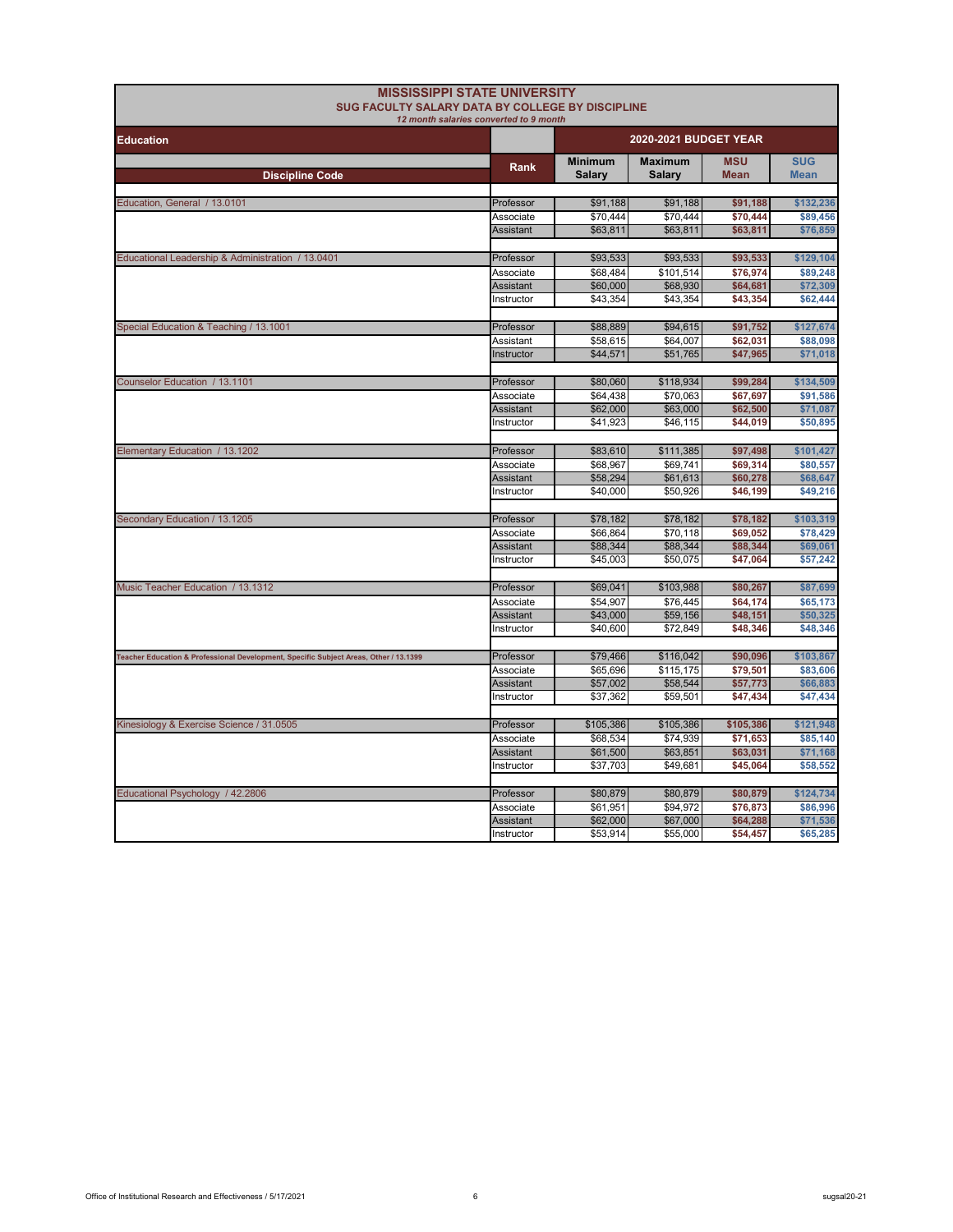| SUG FACULTY SALARY DATA BY COLLEGE BY DISCIPLINE                                      | <b>MISSISSIPPI STATE UNIVERSITY</b><br>12 month salaries converted to 9 month |                                 |                                 |                           |                           |
|---------------------------------------------------------------------------------------|-------------------------------------------------------------------------------|---------------------------------|---------------------------------|---------------------------|---------------------------|
| <b>Education</b>                                                                      |                                                                               | 2020-2021 BUDGET YEAR           |                                 |                           |                           |
| <b>Discipline Code</b>                                                                | Rank                                                                          | <b>Minimum</b><br><b>Salary</b> | <b>Maximum</b><br><b>Salary</b> | <b>MSU</b><br><b>Mean</b> | <b>SUG</b><br><b>Mean</b> |
|                                                                                       |                                                                               |                                 |                                 |                           |                           |
| Education, General / 13.0101                                                          | Professor                                                                     | \$91,188                        | \$91,188                        | \$91,188                  | \$132,236                 |
|                                                                                       | Associate                                                                     | \$70.444                        | \$70.444                        | \$70,444                  | \$89,456                  |
|                                                                                       | <b>Assistant</b>                                                              | \$63,811                        | \$63,811                        | \$63,811                  | \$76,859                  |
| Educational Leadership & Administration / 13.0401                                     | Professor                                                                     | \$93,533                        | \$93,533                        | \$93,533                  | \$129,104                 |
|                                                                                       | Associate                                                                     | \$68,484                        | \$101,514                       | \$76,974                  | \$89,248                  |
|                                                                                       | Assistant                                                                     | \$60,000                        | \$68,930                        | \$64,681                  | \$72,309                  |
|                                                                                       | Instructor                                                                    | \$43,354                        | \$43,354                        | \$43,354                  | \$62,444                  |
| Special Education & Teaching / 13.1001                                                | Professor                                                                     | \$88,889                        | \$94,615                        | \$91,752                  | \$127,674                 |
|                                                                                       | Assistant                                                                     | \$58.615                        | \$64,007                        | \$62.031                  | \$88,098                  |
|                                                                                       | Instructor                                                                    | \$44,571                        | \$51,765                        | \$47,965                  | \$71,018                  |
|                                                                                       |                                                                               |                                 |                                 |                           |                           |
| Counselor Education / 13.1101                                                         | Professor                                                                     | \$80,060                        | \$118,934                       | \$99,284                  | \$134,509                 |
|                                                                                       | Associate                                                                     | \$64,438                        | \$70,063                        | \$67,697                  | \$91,586                  |
|                                                                                       | Assistant                                                                     | \$62,000                        | \$63,000                        | \$62,500                  | \$71,087                  |
|                                                                                       | Instructor                                                                    | \$41,923                        | \$46,115                        | \$44,019                  | \$50,895                  |
| Elementary Education / 13.1202                                                        | Professor                                                                     | \$83,610                        | \$111,385                       | \$97,498                  | \$101,427                 |
|                                                                                       | Associate                                                                     | \$68,967                        | \$69,741                        | \$69,314                  | \$80,557                  |
|                                                                                       | Assistant                                                                     | \$58,294                        | \$61,613                        | \$60,278                  | \$68,647                  |
|                                                                                       | Instructor                                                                    | \$40,000                        | \$50,926                        | \$46,199                  | \$49,216                  |
| Secondary Education / 13.1205                                                         | Professor                                                                     | \$78,182                        | \$78,182                        | \$78,182                  | \$103,319                 |
|                                                                                       | Associate                                                                     | \$66,864                        | \$70,118                        | \$69,052                  | \$78,429                  |
|                                                                                       | <b>Assistant</b>                                                              | \$88,344                        | \$88,344                        | \$88,344                  | \$69,061                  |
|                                                                                       | Instructor                                                                    | \$45,003                        | \$50,075                        | \$47,064                  | \$57,242                  |
| Music Teacher Education / 13.1312                                                     | Professor                                                                     | \$69,041                        | \$103,988                       | \$80,267                  | \$87,699                  |
|                                                                                       | Associate                                                                     | \$54,907                        | \$76,445                        | \$64,174                  | \$65,173                  |
|                                                                                       | Assistant                                                                     | \$43,000                        | \$59,156                        | \$48,151                  | \$50,325                  |
|                                                                                       | Instructor                                                                    | \$40,600                        | \$72,849                        | \$48,346                  | \$48,346                  |
|                                                                                       | Professor                                                                     |                                 |                                 |                           | \$103,867                 |
| Teacher Education & Professional Development, Specific Subject Areas, Other / 13.1399 | Associate                                                                     | \$79,466<br>\$65,696            | \$116,042<br>\$115,175          | \$90,096<br>\$79.501      | \$83,606                  |
|                                                                                       | <b>Assistant</b>                                                              | \$57,002                        | \$58,544                        | \$57,773                  | \$66,883                  |
|                                                                                       | Instructor                                                                    | \$37,362                        | \$59,501                        | \$47,434                  | \$47,434                  |
|                                                                                       |                                                                               |                                 |                                 |                           |                           |
| Kinesiology & Exercise Science / 31.0505                                              | Professor                                                                     | \$105,386                       | \$105,386                       | \$105,386                 | \$121,948                 |
|                                                                                       | Associate                                                                     | \$68,534                        | \$74,939                        | \$71,653                  | \$85,140                  |
|                                                                                       | Assistant                                                                     | \$61,500                        | \$63,851                        | \$63,031                  | \$71,168                  |
|                                                                                       | Instructor                                                                    | \$37,703                        | \$49,681                        | \$45,064                  | \$58,552                  |
| Educational Psychology / 42.2806                                                      | Professor                                                                     | \$80,879                        | \$80,879                        | \$80,879                  | \$124,734                 |
|                                                                                       | Associate                                                                     | \$61,951                        | \$94,972                        | \$76,873                  | \$86,996                  |
|                                                                                       | <b>Assistant</b>                                                              | \$62,000                        | \$67,000                        | \$64,288                  | \$71,536                  |
|                                                                                       | Instructor                                                                    | \$53,914                        | \$55,000                        | \$54,457                  | \$65,285                  |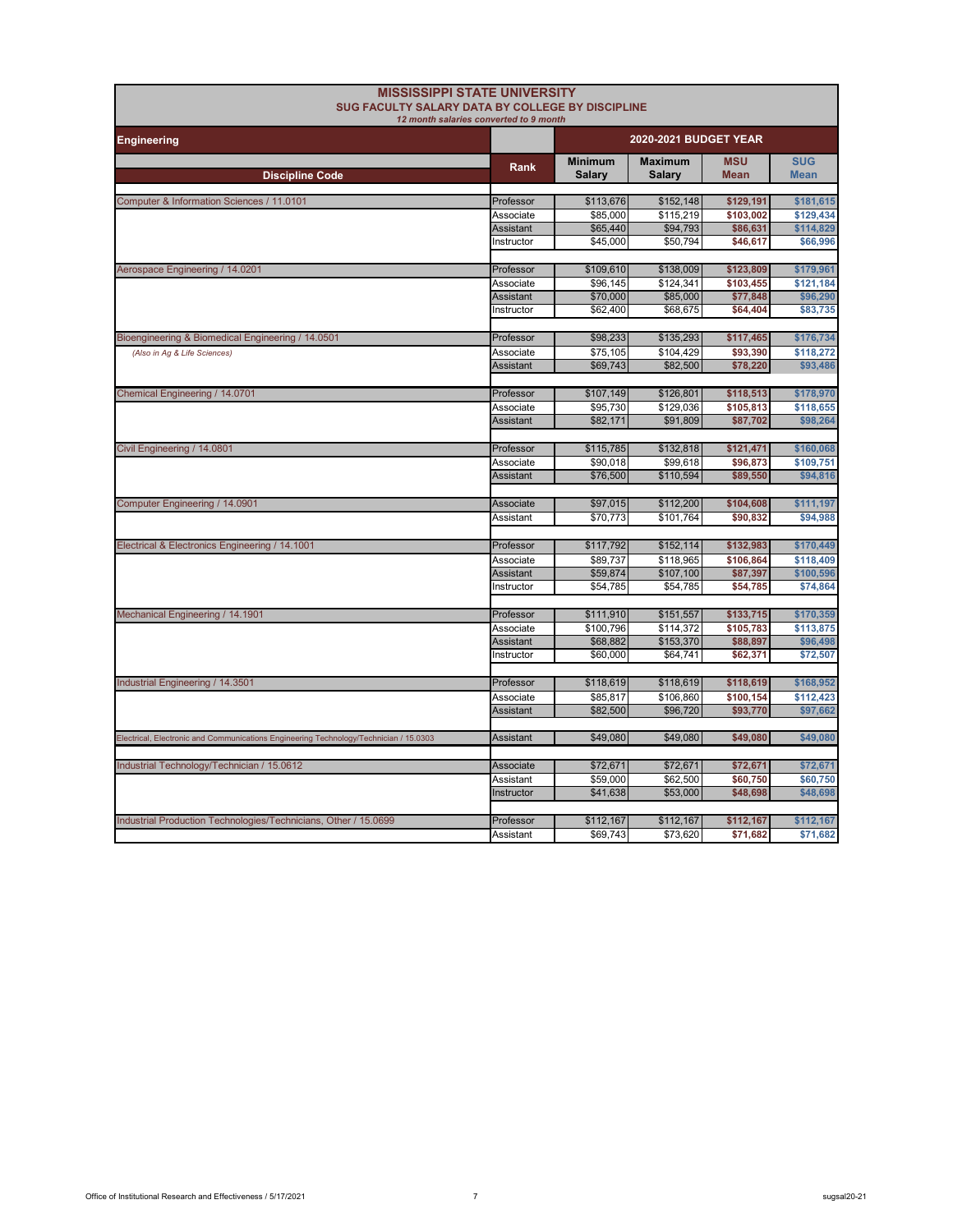| <b>MISSISSIPPI STATE UNIVERSITY</b><br><b>SUG FACULTY SALARY DATA BY COLLEGE BY DISCIPLINE</b> | 12 month salaries converted to 9 month |                                 |                          |                           |                           |
|------------------------------------------------------------------------------------------------|----------------------------------------|---------------------------------|--------------------------|---------------------------|---------------------------|
| <b>Engineering</b>                                                                             |                                        | 2020-2021 BUDGET YEAR           |                          |                           |                           |
| <b>Discipline Code</b>                                                                         | Rank                                   | <b>Minimum</b><br><b>Salary</b> | <b>Maximum</b><br>Salary | <b>MSU</b><br><b>Mean</b> | <b>SUG</b><br><b>Mean</b> |
|                                                                                                |                                        |                                 |                          |                           |                           |
| Computer & Information Sciences / 11.0101                                                      | Professor                              | \$113,676                       | \$152,148                | \$129,191                 | \$181,615                 |
|                                                                                                | Associate                              | \$85,000                        | \$115,219                | \$103,002                 | \$129,434                 |
|                                                                                                | Assistant                              | \$65,440                        | \$94,793                 | \$86,631                  | \$114,829                 |
|                                                                                                | Instructor                             | \$45,000                        | \$50,794                 | \$46,617                  | \$66,996                  |
| Aerospace Engineering / 14.0201                                                                | Professor                              | \$109,610                       | \$138,009                | \$123,809                 | \$179,961                 |
|                                                                                                | Associate                              | \$96,145                        | \$124,341                | \$103,455                 | \$121,184                 |
|                                                                                                | Assistant                              | \$70,000                        | \$85,000                 | \$77,848                  | \$96,290                  |
|                                                                                                | Instructor                             | \$62,400                        | \$68.675                 | \$64,404                  | \$83,735                  |
|                                                                                                |                                        |                                 |                          |                           |                           |
| Bioengineering & Biomedical Engineering / 14.0501                                              | Professor                              | \$98,233                        | \$135,293                | \$117,465                 | \$176,734                 |
| (Also in Ag & Life Sciences)                                                                   | Associate                              | \$75,105                        | \$104,429                | \$93,390                  | \$118,272                 |
|                                                                                                | Assistant                              | \$69,743                        | \$82,500                 | \$78,220                  | \$93,486                  |
| Chemical Engineering / 14.0701                                                                 | Professor                              | \$107,149                       | \$126,801                | \$118,513                 | \$178,970                 |
|                                                                                                | Associate                              | \$95,730                        | \$129,036                | \$105,813                 | \$118,655                 |
|                                                                                                | Assistant                              | \$82,171                        | \$91,809                 | \$87,702                  | \$98,264                  |
| Civil Engineering / 14.0801                                                                    | Professor                              | \$115,785                       | \$132,818                | \$121,471                 | \$160,068                 |
|                                                                                                | Associate                              | \$90.018                        | \$99,618                 | \$96,873                  | \$109,751                 |
|                                                                                                | Assistant                              | \$76,500                        | \$110,594                | \$89,550                  | \$94,816                  |
|                                                                                                |                                        |                                 |                          |                           |                           |
| Computer Engineering / 14.0901                                                                 | Associate                              | \$97,015                        | \$112,200                | \$104,608                 | \$111,197                 |
|                                                                                                | Assistant                              | \$70,773                        | \$101,764                | \$90,832                  | \$94,988                  |
| Electrical & Electronics Engineering / 14.1001                                                 | Professor                              | \$117,792                       | \$152,114                | \$132,983                 | \$170,449                 |
|                                                                                                | Associate                              | \$89,737                        | \$118,965                | \$106,864                 | \$118,409                 |
|                                                                                                | Assistant                              | \$59,874                        | \$107,100                | \$87,397                  | \$100,596                 |
|                                                                                                | Instructor                             | \$54,785                        | \$54,785                 | \$54,785                  | \$74,864                  |
|                                                                                                |                                        |                                 |                          |                           |                           |
| Mechanical Engineering / 14.1901                                                               | Professor                              | \$111,910                       | \$151,557                | \$133,715                 | \$170,359                 |
|                                                                                                | Associate                              | \$100,796                       | \$114,372                | \$105,783                 | \$113,875                 |
|                                                                                                | Assistant                              | \$68,882                        | \$153,370                | \$88,897                  | \$96,498                  |
|                                                                                                | Instructor                             | \$60,000                        | \$64.741                 | \$62,371                  | \$72,507                  |
| Industrial Engineering / 14.3501                                                               | Professor                              | \$118,619                       | \$118,619                | \$118,619                 | \$168,952                 |
|                                                                                                | Associate                              | \$85,817                        | \$106,860                | \$100,154                 | \$112,423                 |
|                                                                                                | Assistant                              | \$82,500                        | \$96,720                 | \$93,770                  | \$97,662                  |
|                                                                                                |                                        |                                 |                          |                           |                           |
| Electrical, Electronic and Communications Engineering Technology/Technician / 15.0303          | Assistant                              | \$49,080                        | \$49,080                 | \$49,080                  | \$49,080                  |
| Industrial Technology/Technician / 15.0612                                                     | Associate                              | \$72,671                        | \$72,671                 | \$72,671                  | \$72,671                  |
|                                                                                                | Assistant                              | \$59,000                        | \$62.500                 | \$60.750                  | \$60,750                  |
|                                                                                                | Instructor                             | \$41,638                        | \$53,000                 | \$48,698                  | \$48,698                  |
|                                                                                                |                                        |                                 |                          |                           |                           |
| Industrial Production Technologies/Technicians, Other / 15.0699                                | Professor                              | \$112,167                       | \$112,167                | \$112,167                 | \$112,167                 |
|                                                                                                | Assistant                              | \$69,743                        | \$73,620                 | \$71,682                  | \$71,682                  |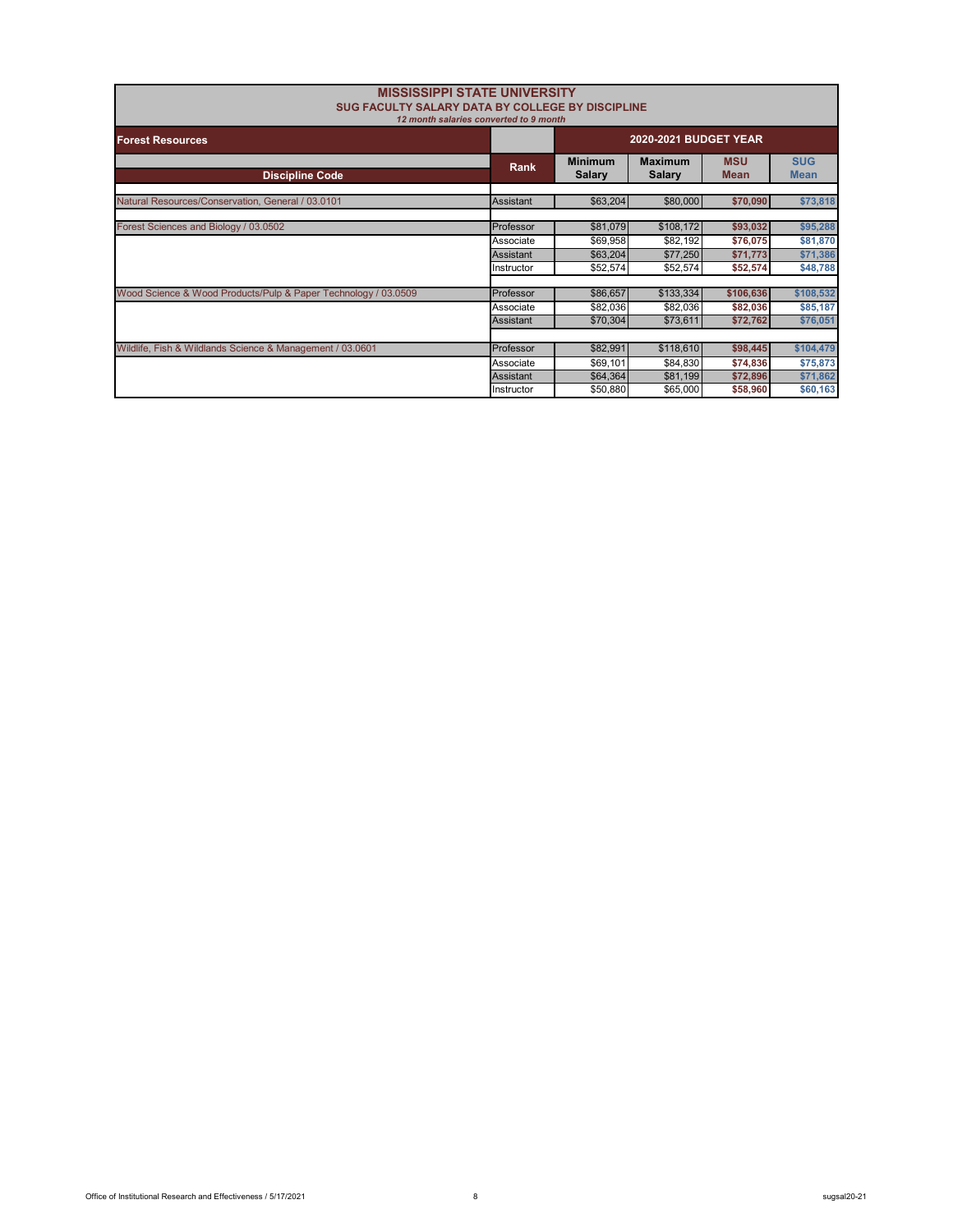| <b>MISSISSIPPI STATE UNIVERSITY</b><br>SUG FACULTY SALARY DATA BY COLLEGE BY DISCIPLINE | 12 month salaries converted to 9 month |                                 |                                 |                           |                           |
|-----------------------------------------------------------------------------------------|----------------------------------------|---------------------------------|---------------------------------|---------------------------|---------------------------|
| <b>Forest Resources</b>                                                                 | 2020-2021 BUDGET YEAR                  |                                 |                                 |                           |                           |
| <b>Discipline Code</b>                                                                  | Rank                                   | <b>Minimum</b><br><b>Salary</b> | <b>Maximum</b><br><b>Salary</b> | <b>MSU</b><br><b>Mean</b> | <b>SUG</b><br><b>Mean</b> |
| Natural Resources/Conservation, General / 03.0101                                       | Assistant                              | \$63,204                        | \$80,000                        | \$70,090                  | \$73,818                  |
| Forest Sciences and Biology / 03.0502                                                   | Professor                              | \$81,079                        | \$108,172                       | \$93,032                  | \$95,288                  |
|                                                                                         | Associate                              | \$69,958                        | \$82,192                        | \$76,075                  | \$81,870                  |
|                                                                                         | <b>Assistant</b><br>Instructor         | \$63,204<br>\$52,574            | \$77,250<br>\$52,574            | \$71,773<br>\$52,574      | \$71,386<br>\$48,788      |
|                                                                                         |                                        |                                 |                                 |                           |                           |
| Wood Science & Wood Products/Pulp & Paper Technology / 03.0509                          | Professor                              | \$86,657                        | \$133,334                       | \$106,636                 | \$108,532                 |
|                                                                                         | Associate                              | \$82,036                        | \$82,036                        | \$82,036                  | \$85,187                  |
|                                                                                         | Assistant                              | \$70,304                        | \$73,611                        | \$72,762                  | \$76,051                  |
|                                                                                         |                                        |                                 |                                 |                           |                           |
| Wildlife, Fish & Wildlands Science & Management / 03.0601                               | Professor                              | \$82,991                        | \$118,610                       | \$98,445                  | \$104,479                 |
|                                                                                         | Associate                              | \$69,101                        | \$84,830                        | \$74,836                  | \$75,873                  |
|                                                                                         | <b>Assistant</b>                       | \$64,364                        | \$81,199                        | \$72,896                  | \$71,862                  |
|                                                                                         | Instructor                             | \$50,880                        | \$65,000                        | \$58,960                  | \$60,163                  |